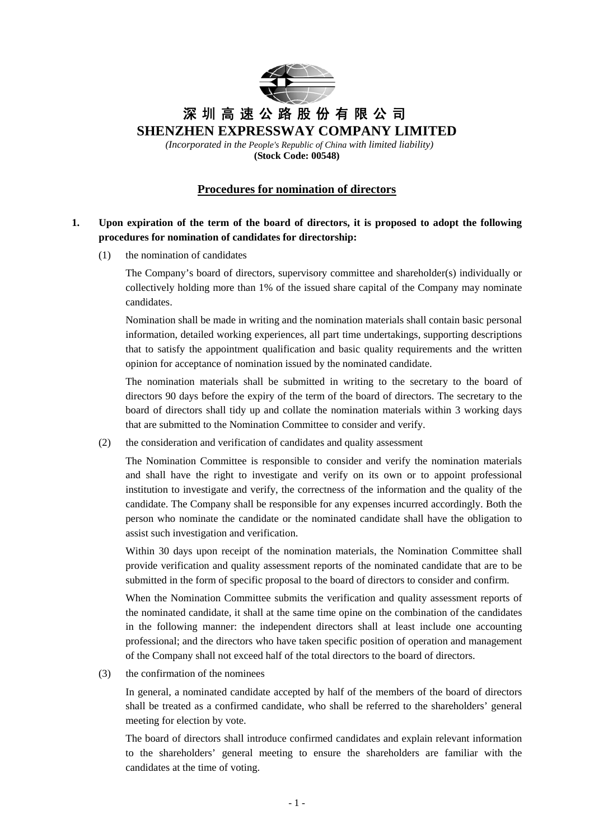

# 深圳高速公路股份有限公司 **SHENZHEN EXPRESSWAY COMPANY LIMITED**

 *(Incorporated in the People's Republic of China with limited liability)*  **(Stock Code: 00548)**

# **Procedures for nomination of directors**

# **1. Upon expiration of the term of the board of directors, it is proposed to adopt the following procedures for nomination of candidates for directorship:**

(1) the nomination of candidates

The Company's board of directors, supervisory committee and shareholder(s) individually or collectively holding more than 1% of the issued share capital of the Company may nominate candidates.

Nomination shall be made in writing and the nomination materials shall contain basic personal information, detailed working experiences, all part time undertakings, supporting descriptions that to satisfy the appointment qualification and basic quality requirements and the written opinion for acceptance of nomination issued by the nominated candidate.

The nomination materials shall be submitted in writing to the secretary to the board of directors 90 days before the expiry of the term of the board of directors. The secretary to the board of directors shall tidy up and collate the nomination materials within 3 working days that are submitted to the Nomination Committee to consider and verify.

(2) the consideration and verification of candidates and quality assessment

The Nomination Committee is responsible to consider and verify the nomination materials and shall have the right to investigate and verify on its own or to appoint professional institution to investigate and verify, the correctness of the information and the quality of the candidate. The Company shall be responsible for any expenses incurred accordingly. Both the person who nominate the candidate or the nominated candidate shall have the obligation to assist such investigation and verification.

Within 30 days upon receipt of the nomination materials, the Nomination Committee shall provide verification and quality assessment reports of the nominated candidate that are to be submitted in the form of specific proposal to the board of directors to consider and confirm.

When the Nomination Committee submits the verification and quality assessment reports of the nominated candidate, it shall at the same time opine on the combination of the candidates in the following manner: the independent directors shall at least include one accounting professional; and the directors who have taken specific position of operation and management of the Company shall not exceed half of the total directors to the board of directors.

(3) the confirmation of the nominees

In general, a nominated candidate accepted by half of the members of the board of directors shall be treated as a confirmed candidate, who shall be referred to the shareholders' general meeting for election by vote.

The board of directors shall introduce confirmed candidates and explain relevant information to the shareholders' general meeting to ensure the shareholders are familiar with the candidates at the time of voting.